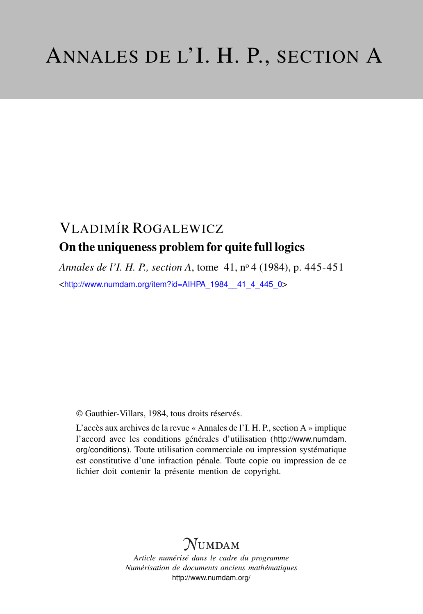## VLADIMÍR ROGALEWICZ On the uniqueness problem for quite full logics

*Annales de l'I. H. P., section A*, tome 41, n<sup>o</sup> 4 (1984), p. 445-451 <[http://www.numdam.org/item?id=AIHPA\\_1984\\_\\_41\\_4\\_445\\_0](http://www.numdam.org/item?id=AIHPA_1984__41_4_445_0)>

© Gauthier-Villars, 1984, tous droits réservés.

L'accès aux archives de la revue « Annales de l'I. H. P., section A » implique l'accord avec les conditions générales d'utilisation ([http://www.numdam.](http://www.numdam.org/conditions) [org/conditions](http://www.numdam.org/conditions)). Toute utilisation commerciale ou impression systématique est constitutive d'une infraction pénale. Toute copie ou impression de ce fichier doit contenir la présente mention de copyright.

## $N$ UMDAM

*Article numérisé dans le cadre du programme Numérisation de documents anciens mathématiques* <http://www.numdam.org/>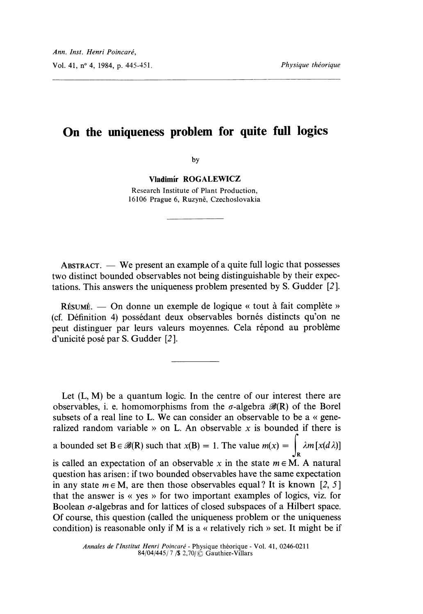## On the uniqueness problem for quite full logics

by

Vladimír ROGALEWICZ

Research Institute of Plant Production, 16106 Prague 6, Ruzyně, Czechoslovakia

ABSTRACT.  $-$  We present an example of a quite full logic that possesses two distinct bounded observables not being distinguishable by their expectations. This answers the uniqueness problem presented by S. Gudder [2 ].

 $R$ ÉSUMÉ. — On donne un exemple de logique « tout à fait complète » (cf. Definition 4) possedant deux observables bornes distincts qu'on ne peut distinguer par leurs valeurs moyennes. Cela répond au problème d'unicité posé par S. Gudder [2].

Let  $(L, M)$  be a quantum logic. In the centre of our interest there are observables, i. e. homomorphisms from the  $\sigma$ -algebra  $\mathscr{B}(R)$  of the Borel subsets of a real line to L. We can consider an observable to be a « generalized random variable » on L. An observable x is bounded if there is a bounded set  $B \in \mathcal{B}(R)$  such that  $x(B) = 1$ . The value  $m(x) = \int \lambda m[x(d\lambda)]$ is called an expectation of an observable x in the state  $m \in M$ . A natural question has arisen: if two bounded observables have the same expectation in any state  $m \in M$ , are then those observables equal? It is known [2, 5] that the answer is « yes » for two important examples of logics, viz. for Boolean  $\sigma$ -algebras and for lattices of closed subspaces of a Hilbert space. Of course, this question (called the uniqueness problem or the uniqueness . condition) is reasonable only if M is a « relatively rich » set. It might be if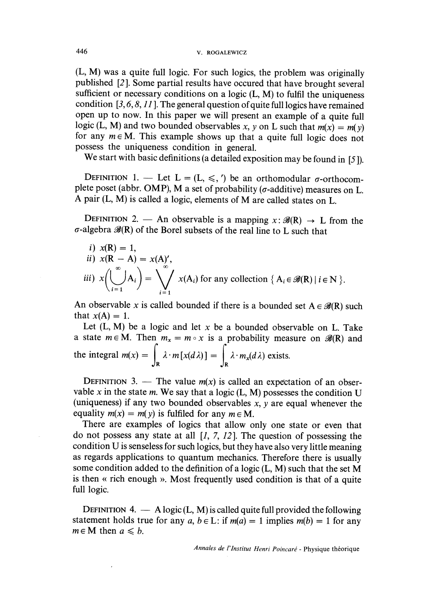(L, M) was a quite full logic. For such logics, the problem was originally published [2]. Some partial results have occured that have brought several sufficient or necessary conditions on a logic  $(L, M)$  to fulfil the uniq condition  $[3, 6, 8, 11]$ . The general question of quite full logics have remained open up to now. In this paper we will present an example of a quite full logic (L, M) and two bounded observables x, y on L such that  $m(x) = m(y)$ for any  $m \in M$ . This example shows up that a quite full logic does not possess the uniqueness condition in general.

We start with basic definitions (a detailed exposition may be found in [5]).

DEFINITION 1. — Let  $L = (L, \leq,')$  be an orthomodular  $\sigma$ -orthocomplete poset (abbr. OMP), M a set of probability ( $\sigma$ -additive) measures on L. A pair (L, M) is called a logic, elements of M are called states on L.

DEFINITION 2. - An observable is a mapping  $x: \mathcal{B}(R) \to L$  from the  $\sigma$ -algebra  $\mathscr{B}(R)$  of the Borel subsets of the real line to L such that

*i)* 
$$
x(\mathbf{R}) = 1
$$
,  
\n*ii)*  $x(\mathbf{R} - \mathbf{A}) = x(\mathbf{A})'$ ,  
\n*iii)*  $x\left(\bigcup_{i=1}^{\infty} A_i\right) = \bigvee_{i=1}^{\infty} x(A_i)$  for any collection  $\{A_i \in \mathcal{B}(\mathbf{R}) | i \in \mathbf{N}\}$ .

An observable x is called bounded if there is a bounded set  $A \in \mathcal{B}(R)$  such that  $x(A) = 1$ .

Let  $(L, M)$  be a logic and let x be a bounded observable on L. Take a state  $m \in M$ . Then  $m_x = m \circ x$  is a probability measure on  $\mathscr{B}(R)$  and the integral  $m(x) = \int_{\mathbf{R}} \lambda \cdot m[x(d\lambda)] = \int_{\mathbf{R}} \lambda \cdot m_x(d\lambda)$  exists.

DEFINITION 3. — The value  $m(x)$  is called an expectation of an observable x in the state m. We say that a logic  $(L, M)$  possesses the condition U (uniqueness) if any two bounded observables  $x$ ,  $y$  are equal whenever the equality  $m(x) = m(y)$  is fulfiled for any  $m \in M$ .

There are examples of logics that allow only one state or even that do not possess any state at all  $[1, 7, 12]$ . The question of possessing the condition U is senseless for such logics, but they have also very little meaning as regards applications to quantum mechanics. Therefore there is usually some condition added to the definition of a logic (L, M) such that the set M is then « rich enough ». Most frequently used condition is that of a quite full logic.

DEFINITION 4.  $-$  A logic (L, M) is called quite full provided the following statement holds true for any  $a, b \in L$ : if  $m(a) = 1$  implies  $m(b) = 1$  for any  $m \in M$  then  $a \le b$ .

Annales de l'Institut Henri Poincaré - Physique théorique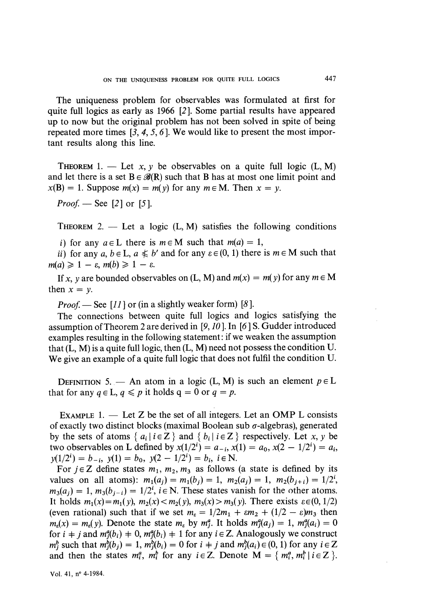The uniqueness problem for observables was formulated at first for quite full logics as early as 1966 [2 ]. Some partial results have appeared up to now but the original problem has not been solved in spite of being repeated more times [3, 4, 5, 6 ]. We would like to present the most important results along this line.

THEOREM 1. - Let x, y be observables on a quite full logic  $(L, M)$ and let there is a set  $B \in \mathscr{B}(R)$  such that B has at most one limit point and  $x(B) = 1$ . Suppose  $m(x) = m(y)$  for any  $m \in M$ . Then  $x = y$ .

*Proof.* — See [2] or [5].

THEOREM 2. - Let a logic  $(L, M)$  satisfies the following conditions

i) for any  $a \in L$  there is  $m \in M$  such that  $m(a) = 1$ ,

ii) for any a,  $b \in L$ ,  $a \leq b'$  and for any  $\varepsilon \in (0, 1)$  there is  $m \in M$  such that  $m(a) \geq 1 - \varepsilon, m(b) \geq 1 - \varepsilon.$ 

If x, y are bounded observables on (L, M) and  $m(x) = m(y)$  for any  $m \in M$ then  $x = y$ .

*Proof.* — See [11] or (in a slightly weaker form) [8].

The connections between quite full logics and logics satisfying the assumption of Theorem 2 are derived in [9,10 ]. In [6] S. Gudder introduced examples resulting in the following statement : if we weaken the assumption that  $(L, M)$  is a quite full logic, then  $(L, M)$  need not possess the condition U. We give an example of a quite full logic that does not fulfil the condition U.

DEFINITION 5. — An atom in a logic (L, M) is such an element  $p \in L$ that for any  $q \in L, q \leq p$  it holds  $q = 0$  or  $q = p$ .

EXAMPLE 1.  $-$  Let Z be the set of all integers. Let an OMP L consists of exactly two distinct blocks (maximal Boolean sub  $\sigma$ -algebras), generated by the sets of atoms  $\{a_i | i \in \mathbb{Z}\}\$  and  $\{b_i | i \in \mathbb{Z}\}\$  respectively. Let x, y be two observables on L defined by  $x(1/2^{i}) = a_{-i}$ ,  $x(1) = a_0$ ,  $x(2 - 1/2^{i}) = a_i$ ,  $y(1/2^i) = b_{-i}, y(1) = b_0, y(2 - 1/2^i) = b_i, i \in \mathbb{N}.$ 

For  $j \in \mathbb{Z}$  define states  $m_1$ ,  $m_2$ ,  $m_3$  as follows (a state is defined by its values on all atoms):  $m_1(a_i) = m_1(b_i) = 1$ ,  $m_2(a_i) = 1$ ,  $m_2(b_{i+i}) = 1/2^i$ ,  $m_3(a_i) = 1$ ,  $m_3(b_{i-i}) = 1/2^i$ ,  $i \in \mathbb{N}$ . These states vanish for the other atoms. It holds  $m_1(x) = m_1(y)$ ,  $m_2(x) < m_2(y)$ ,  $m_3(x) > m_3(y)$ . There exists  $\varepsilon \in (0,1/2)$ (even rational) such that if we set  $m_{\epsilon} = 1/2m_1 + \epsilon m_2 + (1/2 - \epsilon)m_3$  then  $m_{\epsilon}(x) = m_{\epsilon}(y)$ . Denote the state  $m_{\epsilon}$  by  $m_i^a$ . It holds  $m_i^a(a_i) = 1$ ,  $m_i^a(a_i) = 0$ for  $i + j$  and  $m_i^a(b_i) + 0$ ,  $m_i^a(b_i) + 1$  for any  $i \in \mathbb{Z}$ . Analogously we construct  $m_j^b$  such that  $m_j^b(b_j) = 1$ ,  $m_j^b(b_i) = 0$  for  $i \neq j$  and  $m_j^b(a_i) \in (0,1)$  for any  $i \in \mathbb{Z}$ and then the states  $m_i^a$ ,  $m_i^b$  for any  $i \in \mathbb{Z}$ . Denote  $M = \{m_i^a, m_i^b | i \in \mathbb{Z} \}$ .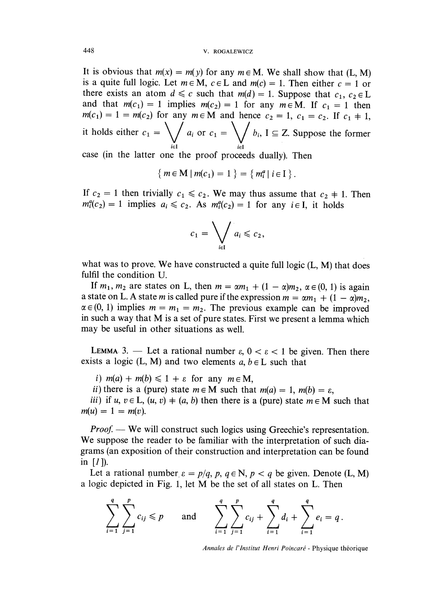It is obvious that  $m(x) = m(y)$  for any  $m \in M$ . We shall show that (L, M) is a quite full logic. Let  $m \in M$ ,  $c \in L$  and  $m(c) = 1$ . Then either  $c = 1$  or there exists an atom  $d \leq c$  such that  $m(d) = 1$ . Suppose that  $c_1, c_2 \in L$ and that  $m(c_1) = 1$  implies  $m(c_2) = 1$  for any  $m \in M$ . If  $c_1 = 1$  then  $m(c_1) = 1 = m(c_2)$  for any  $m \in \widetilde{M}$  and hence  $c_2 = 1$ ,  $c_1 = c_2$ . If  $c_1 \neq 1$ , it holds either  $c_1 = \bigvee a_i$  or  $c_1 = \bigvee b_i$ ,  $I \subseteq Z$ . Suppose the former

case (in the latter one the proof proceeds dually). Then

$$
\{ m \in M \mid m(c_1) = 1 \} = \{ m_i^a \mid i \in I \}
$$

If  $c_2 = 1$  then trivially  $c_1 \le c_2$ . We may thus assume that  $c_2 \ne 1$ . Then  $m_i^a(c_2) = 1$  implies  $a_i \le c_2$ . As  $m_i^a(c_2) = 1$  for any  $i \in I$ , it holds

$$
c_1 = \bigvee_{i \in I} a_i \leqslant c_2,
$$

what was to prove. We have constructed a quite full logic  $(L, M)$  that does fulfil the condition U.

If  $m_1$ ,  $m_2$  are states on L, then  $m = \alpha m_1 + (1 - \alpha)m_2$ ,  $\alpha \in (0, 1)$  is again a state on L. A state m is called pure if the expression  $m = \alpha m_1 + (1 - \alpha)m_2$ ,  $\alpha \in (0, 1)$  implies  $m = m_1 = m_2$ . The previous example can be improved in such a way that M is a set of pure states. First we present a lemma which may be useful in other situations as well.

LEMMA 3. - Let a rational number  $\varepsilon$ ,  $0 < \varepsilon < 1$  be given. Then there exists a logic (L, M) and two elements  $a, b \in L$  such that

i)  $m(a) + m(b) \leq 1 + \varepsilon$  for any  $m \in M$ ,

ii) there is a (pure) state  $m \in M$  such that  $m(a) = 1$ ,  $m(b) = \varepsilon$ ,

iii) if u,  $v \in L$ ,  $(u, v) + (a, b)$  then there is a (pure) state  $m \in M$  such that  $m(u) = 1 = m(v)$ .

*Proof.* — We will construct such logics using Greechie's representation. We suppose the reader to be familiar with the interpretation of such diagrams (an exposition of their construction and interpretation can be found in  $[I]$ ).

Let a rational number  $\varepsilon = p/q$ ,  $p$ ,  $q \in \mathbb{N}$ ,  $p < q$  be given. Denote (L, M) a logic depicted in Fig. 1, let M be the set of all states on L. Then

$$
\sum_{i=1}^{q} \sum_{j=1}^{p} c_{ij} \leq p \quad \text{and} \quad \sum_{i=1}^{q} \sum_{j=1}^{p} c_{ij} + \sum_{i=1}^{q} d_i + \sum_{i=1}^{q} e_i = q.
$$

Annales de l'Institut Henri Poincaré - Physique théorique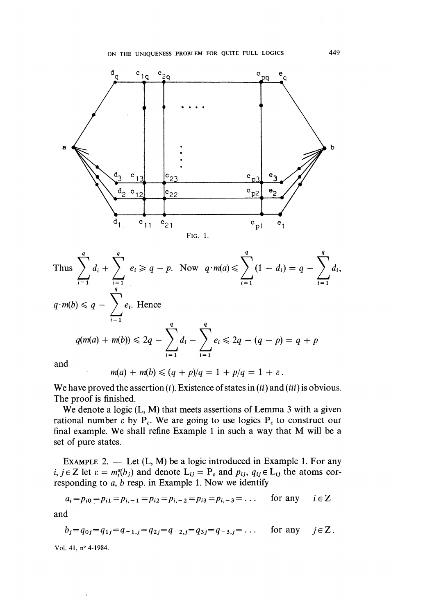

Thus 
$$
\sum_{i=1}^{q} d_i + \sum_{i=1}^{q} e_i \ge q - p.
$$
 Now  $q \cdot m(a) \le \sum_{i=1}^{q} (1 - d_i) = q - \sum_{i=1}^{q} d_i$ ,  
\n
$$
q \cdot m(b) \le q - \sum_{i=1}^{q} e_i.
$$
 Hence  
\n
$$
q(m(a) + m(b)) \le 2q - \sum_{i=1}^{q} d_i - \sum_{i=1}^{q} e_i \le 2q - (q - p) = q + p
$$

and

$$
m(a) + m(b) \leqslant (q + p)/q = 1 + p/q = 1 + \varepsilon.
$$

We have proved the assertion  $(i)$ . Existence of states in  $(ii)$  and  $(iii)$  is obvious. The proof is finished.

We denote a logic (L, M) that meets assertions of Lemma 3 with a given rational number  $\epsilon$  by  $P_{\epsilon}$ . We are going to use logics  $P_{\epsilon}$  to construct our final example. We shall refine Example 1 in such a way that M will be a set of pure states.

EXAMPLE 2.  $-$  Let  $(L, M)$  be a logic introduced in Example 1. For any i,  $j \in \mathbb{Z}$  let  $\varepsilon = m_i^a(b_i)$  and denote  $L_{ij} = P_{\varepsilon}$  and  $p_{ij}$ ,  $q_{ij} \in L_{ij}$  the atoms corresponding to  $a, b$  resp. in Example 1. Now we identify

$$
a_i = p_{i0} = p_{i1} = p_{i,-1} = p_{i2} = p_{i,-2} = p_{i3} = p_{i,-3} = \dots
$$
 for any  $i \in \mathbb{Z}$ 

and

$$
b_j = q_{0j} = q_{1j} = q_{-1,j} = q_{2j} = q_{-2,j} = q_{3j} = q_{-3,j} = \dots
$$
 for any  $j \in \mathbb{Z}$ .

Vol. 41, n° 4-1984.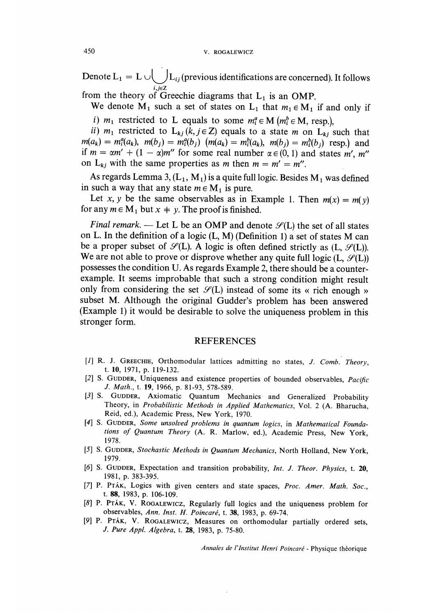Denote  $L_1 = L \cup L_{ij}$  (previous identifications are concerned). It follows

from the theory of Greechie diagrams that  $L_1$  is an OMP.

We denote  $M_1$  such a set of states on  $L_1$  that  $m_1 \in M_1$  if and only if

i)  $m_1$  restricted to L equals to some  $m_i^a \in M$  ( $m_i^b \in M$ , resp.),<br>ii)  $m_1$  restricted to  $L_{ki}$  ( $k, j \in Z$ ) equals to a state *m* on  $L_{ki}$  such that  $m(a_k) = m_i^a(a_k)$ ,  $m(b_i) = m_i^a(b_i)$   $(m(a_k) = m_i^b(a_k)$ ,  $m(b_i) = m_i^b(b_i)$  resp.) and if  $m = \alpha m' + (1 - \alpha)m''$  for some real number  $\alpha \in (0,1)$  and states m', m'' on  $L_{ki}$  with the same properties as m then  $m = m' = m''$ .

As regards Lemma 3,  $(L_1, M_1)$  is a quite full logic. Besides  $M_1$  was defined in such a way that any state  $m \in M_1$  is pure.

Let x, y be the same observables as in Example 1. Then  $m(x) = m(y)$  for any  $m \in M_1$  but  $x + y$ . The proof is finished.

Final remark. — Let L be an OMP and denote  $\mathcal{S}(L)$  the set of all states on L. In the definition of a logic (L, M) (Definition 1) a set of states M can be a proper subset of  $\mathcal{S}(L)$ . A logic is often defined strictly as  $(L, \mathcal{S}(L))$ . We are not able to prove or disprove whether any quite full logic  $(L, \mathcal{S}(L))$ possesses the condition U. As regards Example 2, there should be a counterexample. It seems improbable that such a strong condition might result<br>only from considering the set  $\mathcal{S}(L)$  instead of some its « rich enough » subset M. Although the original Gudder's problem has been answered (Example 1) it would be desirable to solve the uniqueness problem in this stronger form.

## **REFERENCES**

- [1] R. J. GREECHIE, Orthomodular lattices admitting no states, J. Comb. Theory, t. 10, 1971, p. 119-132.
- [2] S. GUDDER, Uniqueness and existence properties of bounded observables, Pacific J. Math., t. 19, 1966, p. 81-93, 578-589.
- [3] S. GUDDER, Axiomatic Quantum Mechanics and Generalized Probability Theory, in Probabilistic Methods in Applied Mathematics, Vol. 2 (A. Bharucha, Reid, ed.), Academic Press, New York, 1970.
- [4] S. GUDDER, Some unsolved problems in quantum logics, in Mathematical Foundations of Quantum Theory (A. R. Marlow, ed.), Academic Press, New York, 1978.
- [5] S. GUDDER, Stochastic Methods in Quantum Mechanics, North Holland, New York, 1979.
- [6] S. GUDDER, Expectation and transition probability, Int. J. Theor. Physics, t. 20, 1981, p. 383-395.
- [7] P. PTÁK, Logics with given centers and state spaces, Proc. Amer. Math. Soc., t. 88, 1983, p. 106-109.
- [8] P. PTÁK, V. ROGALEWICZ, Regularly full logics and the uniqueness problem for observables, Ann. Inst. H. Poincaré, t. 38, 1983, p. 69-74.
- [9] P. PTÁK, V. ROGALEWICZ, Measures on orthomodular partially ordered sets, J. Pure Appl. Algebra, t. 28, 1983, p. 75-80.

Annales de l'Institut Henri Poincaré - Physique théorique